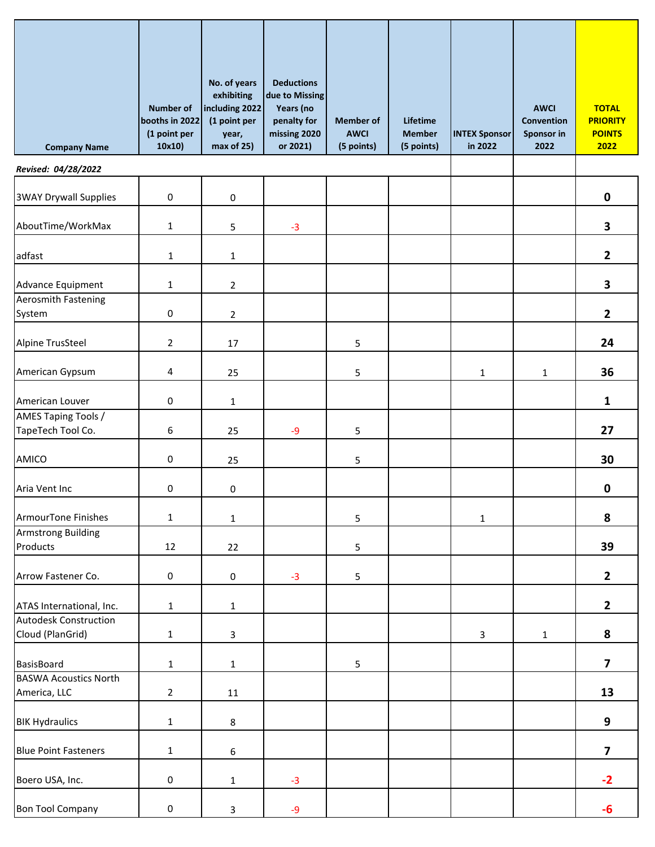| <b>Company Name</b>                              | <b>Number of</b><br>booths in 2022<br>(1 point per<br>10x10) | No. of years<br>exhibiting<br>including 2022<br>(1 point per<br>year,<br>max of 25) | <b>Deductions</b><br>due to Missing<br>Years (no<br>penalty for<br>missing 2020<br>or 2021) | <b>Member of</b><br><b>AWCI</b><br>(5 points) | Lifetime<br><b>Member</b><br>(5 points) | <b>INTEX Sponsor</b><br>in 2022 | <b>AWCI</b><br>Convention<br>Sponsor in<br>2022 | <b>TOTAL</b><br><b>PRIORITY</b><br><b>POINTS</b><br>2022 |
|--------------------------------------------------|--------------------------------------------------------------|-------------------------------------------------------------------------------------|---------------------------------------------------------------------------------------------|-----------------------------------------------|-----------------------------------------|---------------------------------|-------------------------------------------------|----------------------------------------------------------|
| Revised: 04/28/2022                              |                                                              |                                                                                     |                                                                                             |                                               |                                         |                                 |                                                 |                                                          |
| <b>3WAY Drywall Supplies</b>                     | $\pmb{0}$                                                    | $\pmb{0}$                                                                           |                                                                                             |                                               |                                         |                                 |                                                 | $\mathbf 0$                                              |
| AboutTime/WorkMax                                | $\mathbf{1}$                                                 | 5                                                                                   | $-3$                                                                                        |                                               |                                         |                                 |                                                 | 3                                                        |
| adfast                                           | $\mathbf{1}$                                                 | $\mathbf{1}$                                                                        |                                                                                             |                                               |                                         |                                 |                                                 | $\mathbf{2}$                                             |
| Advance Equipment                                | $\mathbf{1}$                                                 | $\overline{2}$                                                                      |                                                                                             |                                               |                                         |                                 |                                                 | 3                                                        |
| Aerosmith Fastening<br>System                    | $\mathsf{O}\xspace$                                          | $\overline{2}$                                                                      |                                                                                             |                                               |                                         |                                 |                                                 | $\mathbf{2}$                                             |
| Alpine TrusSteel                                 | $\overline{2}$                                               | 17                                                                                  |                                                                                             | 5                                             |                                         |                                 |                                                 | 24                                                       |
| American Gypsum                                  | 4                                                            | 25                                                                                  |                                                                                             | 5                                             |                                         | 1                               | $\mathbf{1}$                                    | 36                                                       |
| American Louver                                  | $\mathbf 0$                                                  | $\mathbf{1}$                                                                        |                                                                                             |                                               |                                         |                                 |                                                 | $\mathbf{1}$                                             |
| AMES Taping Tools /<br>TapeTech Tool Co.         | 6                                                            | 25                                                                                  | $-9$                                                                                        | 5                                             |                                         |                                 |                                                 | 27                                                       |
| AMICO                                            | $\pmb{0}$                                                    | 25                                                                                  |                                                                                             | 5                                             |                                         |                                 |                                                 | 30                                                       |
| Aria Vent Inc                                    | 0                                                            | 0                                                                                   |                                                                                             |                                               |                                         |                                 |                                                 | $\mathbf 0$                                              |
| <b>ArmourTone Finishes</b>                       | $\mathbf{1}$                                                 | $\mathbf 1$                                                                         |                                                                                             | 5                                             |                                         | $\mathbf{1}$                    |                                                 | 8                                                        |
| <b>Armstrong Building</b><br>Products            | 12                                                           | 22                                                                                  |                                                                                             | 5                                             |                                         |                                 |                                                 | 39                                                       |
| Arrow Fastener Co.                               | $\mathbf 0$                                                  | $\mathbf 0$                                                                         | $-3$                                                                                        | 5                                             |                                         |                                 |                                                 | $\mathbf{2}$                                             |
| ATAS International, Inc.                         | $\mathbf{1}$                                                 | $\mathbf 1$                                                                         |                                                                                             |                                               |                                         |                                 |                                                 | $\mathbf{2}$                                             |
| <b>Autodesk Construction</b><br>Cloud (PlanGrid) | $\mathbf{1}$                                                 | $\mathbf{3}$                                                                        |                                                                                             |                                               |                                         | 3                               | $\mathbf{1}$                                    | 8                                                        |
| <b>BasisBoard</b>                                | $\mathbf{1}$                                                 | $\mathbf{1}$                                                                        |                                                                                             | 5                                             |                                         |                                 |                                                 | $\overline{\mathbf{z}}$                                  |
| <b>BASWA Acoustics North</b><br>America, LLC     | $\overline{2}$                                               | 11                                                                                  |                                                                                             |                                               |                                         |                                 |                                                 | 13                                                       |
| <b>BIK Hydraulics</b>                            | $\mathbf{1}$                                                 | 8                                                                                   |                                                                                             |                                               |                                         |                                 |                                                 | 9                                                        |
| <b>Blue Point Fasteners</b>                      | $\mathbf{1}$                                                 | 6                                                                                   |                                                                                             |                                               |                                         |                                 |                                                 | $\overline{\mathbf{z}}$                                  |
| Boero USA, Inc.                                  | $\mathbf 0$                                                  | $\mathbf{1}$                                                                        | $-3$                                                                                        |                                               |                                         |                                 |                                                 | $-2$                                                     |
| <b>Bon Tool Company</b>                          | $\mathbf 0$                                                  | $\mathsf{3}$                                                                        | $-9$                                                                                        |                                               |                                         |                                 |                                                 | -6                                                       |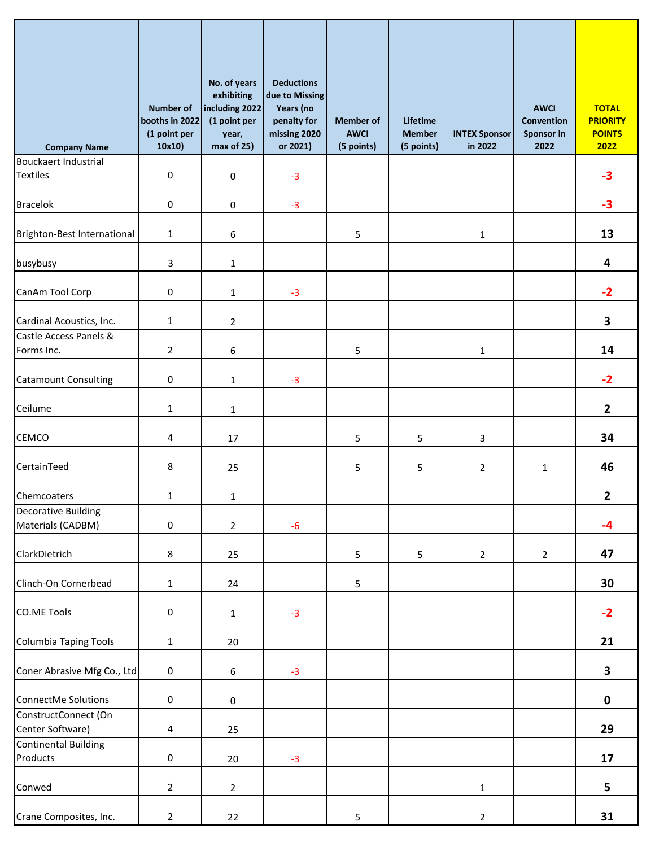| <b>Company Name</b>                             | <b>Number of</b><br>booths in 2022<br>(1 point per<br>10x10) | No. of years<br>exhibiting<br>including 2022<br>(1 point per<br>year,<br>max of 25) | <b>Deductions</b><br>due to Missing<br>Years (no<br>penalty for<br>missing 2020<br>or 2021) | <b>Member of</b><br><b>AWCI</b><br>(5 points) | Lifetime<br><b>Member</b><br>(5 points) | <b>INTEX Sponsor</b><br>in 2022 | <b>AWCI</b><br>Convention<br><b>Sponsor in</b><br>2022 | <b>TOTAL</b><br><b>PRIORITY</b><br><b>POINTS</b><br>2022 |
|-------------------------------------------------|--------------------------------------------------------------|-------------------------------------------------------------------------------------|---------------------------------------------------------------------------------------------|-----------------------------------------------|-----------------------------------------|---------------------------------|--------------------------------------------------------|----------------------------------------------------------|
| <b>Bouckaert Industrial</b>                     |                                                              |                                                                                     |                                                                                             |                                               |                                         |                                 |                                                        |                                                          |
| <b>Textiles</b>                                 | $\mathsf 0$                                                  | $\pmb{0}$                                                                           | $-3$                                                                                        |                                               |                                         |                                 |                                                        | $-3$                                                     |
| <b>Bracelok</b>                                 | $\mathbf 0$                                                  | $\pmb{0}$                                                                           | $-3$                                                                                        |                                               |                                         |                                 |                                                        | $-3$                                                     |
| Brighton-Best International                     | $1\,$                                                        | $\boldsymbol{6}$                                                                    |                                                                                             | 5                                             |                                         | $\mathbf{1}$                    |                                                        | 13                                                       |
| busybusy                                        | 3                                                            | $\mathbf 1$                                                                         |                                                                                             |                                               |                                         |                                 |                                                        | 4                                                        |
| CanAm Tool Corp                                 | $\mathbf 0$                                                  | $\mathbf{1}$                                                                        | $-3$                                                                                        |                                               |                                         |                                 |                                                        | $-2$                                                     |
| Cardinal Acoustics, Inc.                        | $\mathbf{1}$                                                 | $\overline{2}$                                                                      |                                                                                             |                                               |                                         |                                 |                                                        | 3                                                        |
| Castle Access Panels &<br>Forms Inc.            | $\overline{2}$                                               | $\boldsymbol{6}$                                                                    |                                                                                             | 5                                             |                                         | 1                               |                                                        | 14                                                       |
| <b>Catamount Consulting</b>                     | $\mathsf{O}\xspace$                                          | $\mathbf{1}$                                                                        | $-3$                                                                                        |                                               |                                         |                                 |                                                        | $-2$                                                     |
| Ceilume                                         | $\mathbf{1}$                                                 | $\mathbf 1$                                                                         |                                                                                             |                                               |                                         |                                 |                                                        | $\overline{2}$                                           |
| CEMCO                                           | 4                                                            | 17                                                                                  |                                                                                             | 5                                             | 5                                       | 3                               |                                                        | 34                                                       |
| CertainTeed                                     | 8                                                            | 25                                                                                  |                                                                                             | 5                                             | 5                                       | $\overline{2}$                  | $\mathbf{1}$                                           | 46                                                       |
| Chemcoaters                                     | $\mathbf{1}$                                                 | $1\,$                                                                               |                                                                                             |                                               |                                         |                                 |                                                        | 2                                                        |
| <b>Decorative Building</b><br>Materials (CADBM) | $\mathsf{O}\xspace$                                          | $\overline{2}$                                                                      | $-6$                                                                                        |                                               |                                         |                                 |                                                        | $-4$                                                     |
| ClarkDietrich                                   | $\bf 8$                                                      | 25                                                                                  |                                                                                             | $5\phantom{.0}$                               | 5                                       | $\overline{2}$                  | $\overline{2}$                                         | 47                                                       |
| Clinch-On Cornerbead                            | $\mathbf{1}$                                                 | 24                                                                                  |                                                                                             | 5                                             |                                         |                                 |                                                        | 30                                                       |
| <b>CO.ME Tools</b>                              | $\mathbf 0$                                                  | $\mathbf{1}$                                                                        | $-3$                                                                                        |                                               |                                         |                                 |                                                        | $-2$                                                     |
| <b>Columbia Taping Tools</b>                    | $\mathbf{1}$                                                 | 20                                                                                  |                                                                                             |                                               |                                         |                                 |                                                        | 21                                                       |
| Coner Abrasive Mfg Co., Ltd                     | $\mathbf 0$                                                  | $\sqrt{6}$                                                                          | $-3$                                                                                        |                                               |                                         |                                 |                                                        | $\mathbf{3}$                                             |
| ConnectMe Solutions                             | $\mathsf{O}\xspace$                                          | $\mathsf{O}\xspace$                                                                 |                                                                                             |                                               |                                         |                                 |                                                        | $\mathbf 0$                                              |
| ConstructConnect (On<br>Center Software)        | 4                                                            | 25                                                                                  |                                                                                             |                                               |                                         |                                 |                                                        | 29                                                       |
| <b>Continental Building</b><br>Products         | $\mathbf 0$                                                  | 20                                                                                  | $-3$                                                                                        |                                               |                                         |                                 |                                                        | 17                                                       |
| Conwed                                          | $\overline{2}$                                               | $\overline{2}$                                                                      |                                                                                             |                                               |                                         | $\mathbf{1}$                    |                                                        | 5                                                        |
| Crane Composites, Inc.                          | $\overline{2}$                                               | 22                                                                                  |                                                                                             | 5                                             |                                         | $\overline{2}$                  |                                                        | 31                                                       |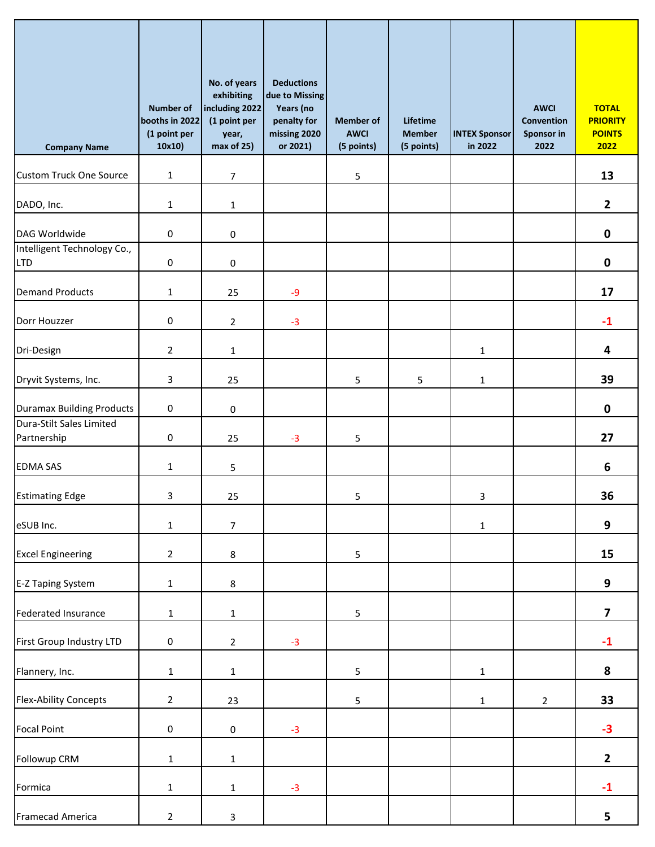| <b>Company Name</b>                       | <b>Number of</b><br>booths in 2022<br>(1 point per<br>10x10) | No. of years<br>exhibiting<br>including 2022<br>(1 point per<br>year,<br>max of 25) | <b>Deductions</b><br>due to Missing<br>Years (no<br>penalty for<br>missing 2020<br>or 2021) | <b>Member of</b><br><b>AWCI</b><br>(5 points) | Lifetime<br><b>Member</b><br>(5 points) | <b>INTEX Sponsor</b><br>in 2022 | <b>AWCI</b><br><b>Convention</b><br>Sponsor in<br>2022 | <b>TOTAL</b><br><b>PRIORITY</b><br><b>POINTS</b><br>2022 |
|-------------------------------------------|--------------------------------------------------------------|-------------------------------------------------------------------------------------|---------------------------------------------------------------------------------------------|-----------------------------------------------|-----------------------------------------|---------------------------------|--------------------------------------------------------|----------------------------------------------------------|
| <b>Custom Truck One Source</b>            | $\mathbf{1}$                                                 | $\overline{7}$                                                                      |                                                                                             | 5                                             |                                         |                                 |                                                        | 13                                                       |
| DADO, Inc.                                | $\mathbf{1}$                                                 | $\mathbf{1}$                                                                        |                                                                                             |                                               |                                         |                                 |                                                        | $\mathbf{2}$                                             |
| DAG Worldwide                             | $\pmb{0}$                                                    | $\pmb{0}$                                                                           |                                                                                             |                                               |                                         |                                 |                                                        | $\pmb{0}$                                                |
| Intelligent Technology Co.,<br><b>LTD</b> | 0                                                            | $\mathbf 0$                                                                         |                                                                                             |                                               |                                         |                                 |                                                        | $\pmb{0}$                                                |
| <b>Demand Products</b>                    | $\mathbf{1}$                                                 | 25                                                                                  | $-9$                                                                                        |                                               |                                         |                                 |                                                        | 17                                                       |
| Dorr Houzzer                              | $\pmb{0}$                                                    | $\overline{2}$                                                                      | $-3$                                                                                        |                                               |                                         |                                 |                                                        | $-1$                                                     |
| Dri-Design                                | $\overline{2}$                                               | $\mathbf{1}$                                                                        |                                                                                             |                                               |                                         | $\mathbf{1}$                    |                                                        | 4                                                        |
| Dryvit Systems, Inc.                      | 3                                                            | 25                                                                                  |                                                                                             | 5                                             | 5                                       | $\mathbf{1}$                    |                                                        | 39                                                       |
| <b>Duramax Building Products</b>          | $\pmb{0}$                                                    | 0                                                                                   |                                                                                             |                                               |                                         |                                 |                                                        | $\pmb{0}$                                                |
| Dura-Stilt Sales Limited<br>Partnership   | $\pmb{0}$                                                    | 25                                                                                  | $-3$                                                                                        | 5                                             |                                         |                                 |                                                        | 27                                                       |
| <b>EDMA SAS</b>                           | $\mathbf{1}$                                                 | 5                                                                                   |                                                                                             |                                               |                                         |                                 |                                                        | 6                                                        |
| <b>Estimating Edge</b>                    | 3                                                            | 25                                                                                  |                                                                                             | 5                                             |                                         | 3                               |                                                        | 36                                                       |
| eSUB Inc.                                 | $\mathbf{1}$                                                 | $\overline{7}$                                                                      |                                                                                             |                                               |                                         | $\mathbf{1}$                    |                                                        | 9                                                        |
| <b>Excel Engineering</b>                  | $\overline{2}$                                               | $\bf 8$                                                                             |                                                                                             | 5                                             |                                         |                                 |                                                        | 15                                                       |
| E-Z Taping System                         | $\mathbf{1}$                                                 | 8                                                                                   |                                                                                             |                                               |                                         |                                 |                                                        | 9                                                        |
| <b>Federated Insurance</b>                | $\mathbf{1}$                                                 | $\mathbf 1$                                                                         |                                                                                             | 5                                             |                                         |                                 |                                                        | $\overline{\mathbf{z}}$                                  |
| First Group Industry LTD                  | $\mathsf{O}\xspace$                                          | $\overline{2}$                                                                      | $-3$                                                                                        |                                               |                                         |                                 |                                                        | $-1$                                                     |
| Flannery, Inc.                            | $\mathbf 1$                                                  | $\mathbf 1$                                                                         |                                                                                             | 5                                             |                                         | $\mathbf{1}$                    |                                                        | 8                                                        |
| <b>Flex-Ability Concepts</b>              | $\overline{2}$                                               | 23                                                                                  |                                                                                             | 5                                             |                                         | $\mathbf{1}$                    | $\overline{2}$                                         | 33                                                       |
| <b>Focal Point</b>                        | $\mathsf{O}\xspace$                                          | $\pmb{0}$                                                                           | $-3$                                                                                        |                                               |                                         |                                 |                                                        | $-3$                                                     |
| Followup CRM                              | $\mathbf 1$                                                  | $\mathbf 1$                                                                         |                                                                                             |                                               |                                         |                                 |                                                        | $\mathbf{2}$                                             |
| Formica                                   | $\mathbf{1}$                                                 | $\mathbf{1}$                                                                        | $-3$                                                                                        |                                               |                                         |                                 |                                                        | $-1$                                                     |
| Framecad America                          | $\sqrt{2}$                                                   | $\mathbf{3}$                                                                        |                                                                                             |                                               |                                         |                                 |                                                        | 5                                                        |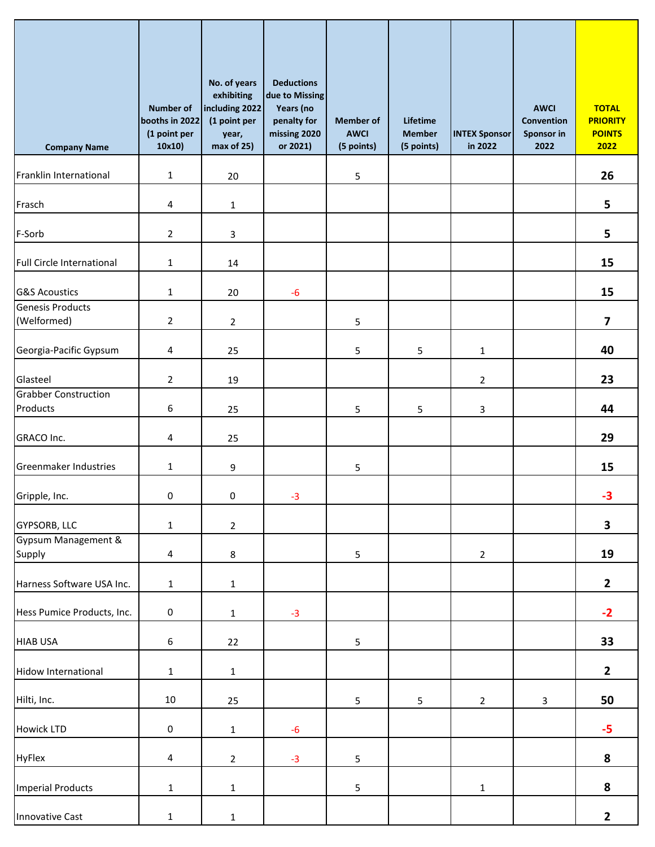| <b>Company Name</b>                     | <b>Number of</b><br>booths in 2022<br>(1 point per<br>10x10) | No. of years<br>exhibiting<br>including 2022<br>(1 point per<br>year,<br>max of 25) | <b>Deductions</b><br>due to Missing<br>Years (no<br>penalty for<br>missing 2020<br>or 2021) | <b>Member of</b><br><b>AWCI</b><br>(5 points) | Lifetime<br><b>Member</b><br>(5 points) | <b>INTEX Sponsor</b><br>in 2022 | <b>AWCI</b><br><b>Convention</b><br>Sponsor in<br>2022 | <b>TOTAL</b><br><b>PRIORITY</b><br><b>POINTS</b><br>2022 |
|-----------------------------------------|--------------------------------------------------------------|-------------------------------------------------------------------------------------|---------------------------------------------------------------------------------------------|-----------------------------------------------|-----------------------------------------|---------------------------------|--------------------------------------------------------|----------------------------------------------------------|
| Franklin International                  | $\mathbf{1}$                                                 | 20                                                                                  |                                                                                             | 5                                             |                                         |                                 |                                                        | 26                                                       |
| Frasch                                  | 4                                                            | 1                                                                                   |                                                                                             |                                               |                                         |                                 |                                                        | 5                                                        |
| F-Sorb                                  | $\overline{2}$                                               | 3                                                                                   |                                                                                             |                                               |                                         |                                 |                                                        | 5                                                        |
| Full Circle International               | $\mathbf{1}$                                                 | 14                                                                                  |                                                                                             |                                               |                                         |                                 |                                                        | 15                                                       |
| <b>G&amp;S Acoustics</b>                | $\mathbf{1}$                                                 | 20                                                                                  | $-6$                                                                                        |                                               |                                         |                                 |                                                        | 15                                                       |
| <b>Genesis Products</b><br>(Welformed)  | $\overline{2}$                                               | $\overline{2}$                                                                      |                                                                                             | 5                                             |                                         |                                 |                                                        | $\overline{\mathbf{z}}$                                  |
| Georgia-Pacific Gypsum                  | 4                                                            | 25                                                                                  |                                                                                             | 5                                             | 5                                       | 1                               |                                                        | 40                                                       |
| Glasteel                                | $\overline{2}$                                               | 19                                                                                  |                                                                                             |                                               |                                         | $\overline{a}$                  |                                                        | 23                                                       |
| <b>Grabber Construction</b><br>Products | 6                                                            | 25                                                                                  |                                                                                             | 5                                             | 5                                       | 3                               |                                                        | 44                                                       |
| GRACO Inc.                              | 4                                                            | 25                                                                                  |                                                                                             |                                               |                                         |                                 |                                                        | 29                                                       |
| Greenmaker Industries                   | $\mathbf{1}$                                                 | 9                                                                                   |                                                                                             | 5                                             |                                         |                                 |                                                        | 15                                                       |
| Gripple, Inc.                           | $\mathbf 0$                                                  | $\pmb{0}$                                                                           | $-3$                                                                                        |                                               |                                         |                                 |                                                        | $-3$                                                     |
| <b>GYPSORB, LLC</b>                     | $\mathbf{1}$                                                 | $\overline{2}$                                                                      |                                                                                             |                                               |                                         |                                 |                                                        | $\overline{\mathbf{3}}$                                  |
| Gypsum Management &<br>Supply           | $\overline{4}$                                               | $\bf 8$                                                                             |                                                                                             | 5                                             |                                         | $\mathbf{2}$                    |                                                        | 19                                                       |
| Harness Software USA Inc.               | $\mathbf 1$                                                  | $\mathbf 1$                                                                         |                                                                                             |                                               |                                         |                                 |                                                        | $\mathbf{2}$                                             |
| Hess Pumice Products, Inc.              | $\pmb{0}$                                                    | $\mathbf 1$                                                                         | $-3$                                                                                        |                                               |                                         |                                 |                                                        | $-2$                                                     |
| <b>HIAB USA</b>                         | $\boldsymbol{6}$                                             | 22                                                                                  |                                                                                             | 5                                             |                                         |                                 |                                                        | 33                                                       |
| <b>Hidow International</b>              | $\mathbf 1$                                                  | $\mathbf 1$                                                                         |                                                                                             |                                               |                                         |                                 |                                                        | $\mathbf{2}$                                             |
| Hilti, Inc.                             | 10                                                           | 25                                                                                  |                                                                                             | 5                                             | 5                                       | $\overline{2}$                  | $\mathbf{3}$                                           | 50                                                       |
| <b>Howick LTD</b>                       | $\mathsf{O}\xspace$                                          | $1\,$                                                                               | $-6$                                                                                        |                                               |                                         |                                 |                                                        | $-5$                                                     |
| <b>HyFlex</b>                           | $\overline{4}$                                               | $\overline{2}$                                                                      | $-3$                                                                                        | 5                                             |                                         |                                 |                                                        | 8                                                        |
| <b>Imperial Products</b>                | $\mathbf{1}$                                                 | $1\,$                                                                               |                                                                                             | 5                                             |                                         | $\mathbf{1}$                    |                                                        | 8                                                        |
| <b>Innovative Cast</b>                  | $\mathbf{1}$                                                 | $\mathbf 1$                                                                         |                                                                                             |                                               |                                         |                                 |                                                        | $\mathbf{2}$                                             |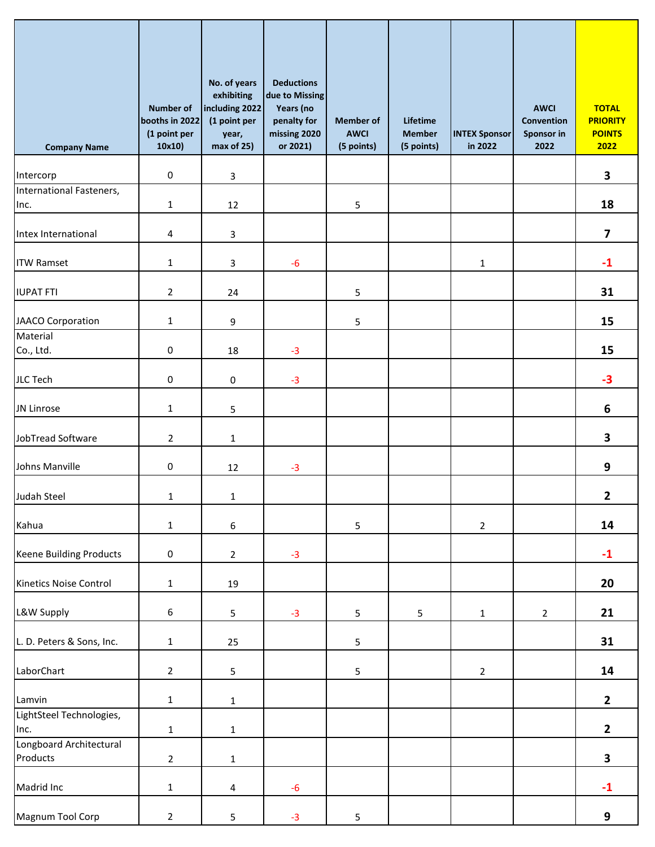| <b>Company Name</b>             | <b>Number of</b><br>booths in 2022<br>(1 point per<br>10x10) | No. of years<br>exhibiting<br>including 2022<br>(1 point per<br>year,<br>max of 25) | <b>Deductions</b><br>due to Missing<br>Years (no<br>penalty for<br>missing 2020<br>or 2021) | <b>Member of</b><br><b>AWCI</b><br>(5 points) | Lifetime<br><b>Member</b><br>(5 points) | <b>INTEX Sponsor</b><br>in 2022 | <b>AWCI</b><br>Convention<br>Sponsor in<br>2022 | <b>TOTAL</b><br><b>PRIORITY</b><br><b>POINTS</b><br>2022 |
|---------------------------------|--------------------------------------------------------------|-------------------------------------------------------------------------------------|---------------------------------------------------------------------------------------------|-----------------------------------------------|-----------------------------------------|---------------------------------|-------------------------------------------------|----------------------------------------------------------|
| Intercorp                       | $\pmb{0}$                                                    | 3                                                                                   |                                                                                             |                                               |                                         |                                 |                                                 | $\overline{\mathbf{3}}$                                  |
| International Fasteners,        |                                                              |                                                                                     |                                                                                             |                                               |                                         |                                 |                                                 |                                                          |
| Inc.                            | $\mathbf{1}$                                                 | 12                                                                                  |                                                                                             | 5                                             |                                         |                                 |                                                 | 18                                                       |
| Intex International             | 4                                                            | 3                                                                                   |                                                                                             |                                               |                                         |                                 |                                                 | $\overline{\mathbf{z}}$                                  |
| <b>ITW Ramset</b>               | $\mathbf{1}$                                                 | 3                                                                                   | $-6$                                                                                        |                                               |                                         | 1                               |                                                 | $-1$                                                     |
| <b>IUPAT FTI</b>                | $\overline{2}$                                               | 24                                                                                  |                                                                                             | 5                                             |                                         |                                 |                                                 | 31                                                       |
| JAACO Corporation               | $\mathbf{1}$                                                 | 9                                                                                   |                                                                                             | 5                                             |                                         |                                 |                                                 | 15                                                       |
| Material                        |                                                              |                                                                                     |                                                                                             |                                               |                                         |                                 |                                                 |                                                          |
| Co., Ltd.                       | $\mathsf{O}\xspace$                                          | 18                                                                                  | $-3$                                                                                        |                                               |                                         |                                 |                                                 | 15                                                       |
| <b>JLC Tech</b>                 | $\pmb{0}$                                                    | $\pmb{0}$                                                                           | $-3$                                                                                        |                                               |                                         |                                 |                                                 | $-3$                                                     |
| JN Linrose                      | $\mathbf{1}$                                                 | 5                                                                                   |                                                                                             |                                               |                                         |                                 |                                                 | 6                                                        |
| JobTread Software               | $\overline{2}$                                               | $\mathbf{1}$                                                                        |                                                                                             |                                               |                                         |                                 |                                                 | 3                                                        |
| Johns Manville                  | 0                                                            | 12                                                                                  | $-3$                                                                                        |                                               |                                         |                                 |                                                 | $\boldsymbol{9}$                                         |
| Judah Steel                     | $\mathbf{1}$                                                 | $1\,$                                                                               |                                                                                             |                                               |                                         |                                 |                                                 | $\mathbf{2}$                                             |
| Kahua                           | $\mathbf{1}$                                                 | $\boldsymbol{6}$                                                                    |                                                                                             | 5                                             |                                         | $\overline{2}$                  |                                                 | 14                                                       |
| <b>Keene Building Products</b>  | $\pmb{0}$                                                    | $\mathbf 2$                                                                         | $-3$                                                                                        |                                               |                                         |                                 |                                                 | $-1$                                                     |
| Kinetics Noise Control          | $\mathbf{1}$                                                 | 19                                                                                  |                                                                                             |                                               |                                         |                                 |                                                 | 20                                                       |
| L&W Supply                      | $\boldsymbol{6}$                                             | $\mathsf S$                                                                         | $-3$                                                                                        | 5                                             | $\sqrt{5}$                              | $\mathbf{1}$                    | $\overline{2}$                                  | 21                                                       |
| L. D. Peters & Sons, Inc.       | $\mathbf{1}$                                                 | 25                                                                                  |                                                                                             | 5                                             |                                         |                                 |                                                 | 31                                                       |
| LaborChart                      | $\overline{2}$                                               | $\overline{\mathbf{5}}$                                                             |                                                                                             | 5                                             |                                         | $\mathbf{2}$                    |                                                 | 14                                                       |
| Lamvin                          | $\mathbf 1$                                                  | $\mathbf{1}$                                                                        |                                                                                             |                                               |                                         |                                 |                                                 | $\overline{2}$                                           |
| LightSteel Technologies,        |                                                              |                                                                                     |                                                                                             |                                               |                                         |                                 |                                                 |                                                          |
| Inc.<br>Longboard Architectural | $\mathbf 1$                                                  | $1\,$                                                                               |                                                                                             |                                               |                                         |                                 |                                                 | $\overline{\mathbf{2}}$                                  |
| Products                        | $\overline{2}$                                               | $\mathbf 1$                                                                         |                                                                                             |                                               |                                         |                                 |                                                 | $\overline{\mathbf{3}}$                                  |
| Madrid Inc                      | $\mathbf{1}$                                                 | $\overline{4}$                                                                      | $-6$                                                                                        |                                               |                                         |                                 |                                                 | $-1$                                                     |
| Magnum Tool Corp                | $\sqrt{2}$                                                   | 5                                                                                   | $-3$                                                                                        | 5                                             |                                         |                                 |                                                 | 9                                                        |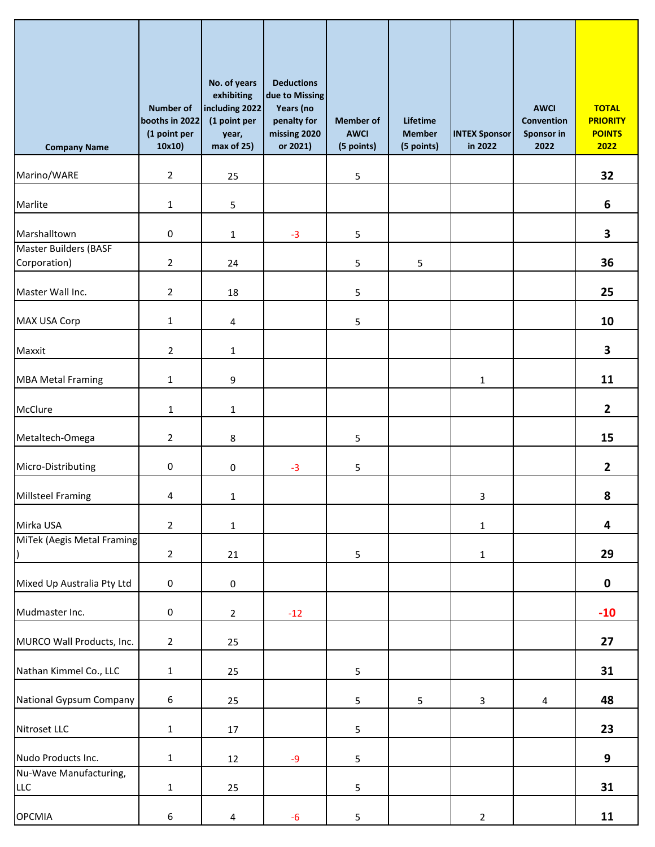| <b>Company Name</b>                  | <b>Number of</b><br>booths in 2022<br>(1 point per<br>10x10) | No. of years<br>exhibiting<br>including 2022<br>(1 point per<br>year,<br>max of 25) | <b>Deductions</b><br>due to Missing<br>Years (no<br>penalty for<br>missing 2020<br>or 2021) | <b>Member of</b><br><b>AWCI</b><br>(5 points) | Lifetime<br><b>Member</b><br>(5 points) | <b>INTEX Sponsor</b><br>in 2022 | <b>AWCI</b><br>Convention<br>Sponsor in<br>2022 | <b>TOTAL</b><br><b>PRIORITY</b><br><b>POINTS</b><br>2022 |
|--------------------------------------|--------------------------------------------------------------|-------------------------------------------------------------------------------------|---------------------------------------------------------------------------------------------|-----------------------------------------------|-----------------------------------------|---------------------------------|-------------------------------------------------|----------------------------------------------------------|
| Marino/WARE                          | $\overline{2}$                                               | 25                                                                                  |                                                                                             | 5                                             |                                         |                                 |                                                 | 32                                                       |
| Marlite                              | $\mathbf{1}$                                                 | 5                                                                                   |                                                                                             |                                               |                                         |                                 |                                                 | 6                                                        |
| Marshalltown                         | 0                                                            | 1                                                                                   | $-3$                                                                                        | 5                                             |                                         |                                 |                                                 | 3                                                        |
| Master Builders (BASF                |                                                              |                                                                                     |                                                                                             |                                               |                                         |                                 |                                                 |                                                          |
| Corporation)                         | $\overline{2}$                                               | 24                                                                                  |                                                                                             | 5                                             | 5                                       |                                 |                                                 | 36                                                       |
| Master Wall Inc.                     | $\overline{2}$                                               | 18                                                                                  |                                                                                             | 5                                             |                                         |                                 |                                                 | 25                                                       |
| <b>MAX USA Corp</b>                  | $\mathbf{1}$                                                 | 4                                                                                   |                                                                                             | 5                                             |                                         |                                 |                                                 | 10                                                       |
| Maxxit                               | $\overline{2}$                                               | 1                                                                                   |                                                                                             |                                               |                                         |                                 |                                                 | 3                                                        |
| <b>MBA Metal Framing</b>             | $\mathbf{1}$                                                 | 9                                                                                   |                                                                                             |                                               |                                         | 1                               |                                                 | 11                                                       |
| McClure                              | $\mathbf{1}$                                                 | 1                                                                                   |                                                                                             |                                               |                                         |                                 |                                                 | $\mathbf{2}$                                             |
| Metaltech-Omega                      | $\overline{2}$                                               | 8                                                                                   |                                                                                             | 5                                             |                                         |                                 |                                                 | 15                                                       |
| Micro-Distributing                   | 0                                                            | 0                                                                                   | $-3$                                                                                        | 5                                             |                                         |                                 |                                                 | $\mathbf{2}$                                             |
| <b>Millsteel Framing</b>             | 4                                                            | $\mathbf{1}$                                                                        |                                                                                             |                                               |                                         | 3                               |                                                 | 8                                                        |
| Mirka USA                            | $\overline{2}$                                               | $\mathbf{1}$                                                                        |                                                                                             |                                               |                                         | $\mathbf{1}$                    |                                                 | 4                                                        |
| MiTek (Aegis Metal Framing           | $\overline{2}$                                               | 21                                                                                  |                                                                                             | 5                                             |                                         | $\mathbf{1}$                    |                                                 | 29                                                       |
| Mixed Up Australia Pty Ltd           | $\pmb{0}$                                                    | $\pmb{0}$                                                                           |                                                                                             |                                               |                                         |                                 |                                                 | $\pmb{0}$                                                |
| Mudmaster Inc.                       | $\pmb{0}$                                                    | $\overline{2}$                                                                      | $-12$                                                                                       |                                               |                                         |                                 |                                                 | $-10$                                                    |
| MURCO Wall Products, Inc.            | $\overline{2}$                                               | 25                                                                                  |                                                                                             |                                               |                                         |                                 |                                                 | 27                                                       |
| Nathan Kimmel Co., LLC               | $\mathbf 1$                                                  | 25                                                                                  |                                                                                             | 5                                             |                                         |                                 |                                                 | 31                                                       |
| National Gypsum Company              | 6                                                            | 25                                                                                  |                                                                                             | 5                                             | 5                                       | 3                               | 4                                               | 48                                                       |
| Nitroset LLC                         | $\mathbf{1}$                                                 | 17                                                                                  |                                                                                             | 5                                             |                                         |                                 |                                                 | 23                                                       |
| Nudo Products Inc.                   | $\mathbf{1}$                                                 | 12                                                                                  | $-9$                                                                                        | 5                                             |                                         |                                 |                                                 | 9                                                        |
| Nu-Wave Manufacturing,<br><b>LLC</b> | $\mathbf{1}$                                                 | 25                                                                                  |                                                                                             | 5                                             |                                         |                                 |                                                 | 31                                                       |
| <b>OPCMIA</b>                        | $\boldsymbol{6}$                                             | $\overline{\mathbf{4}}$                                                             | $-6$                                                                                        | 5                                             |                                         | $\overline{2}$                  |                                                 | 11                                                       |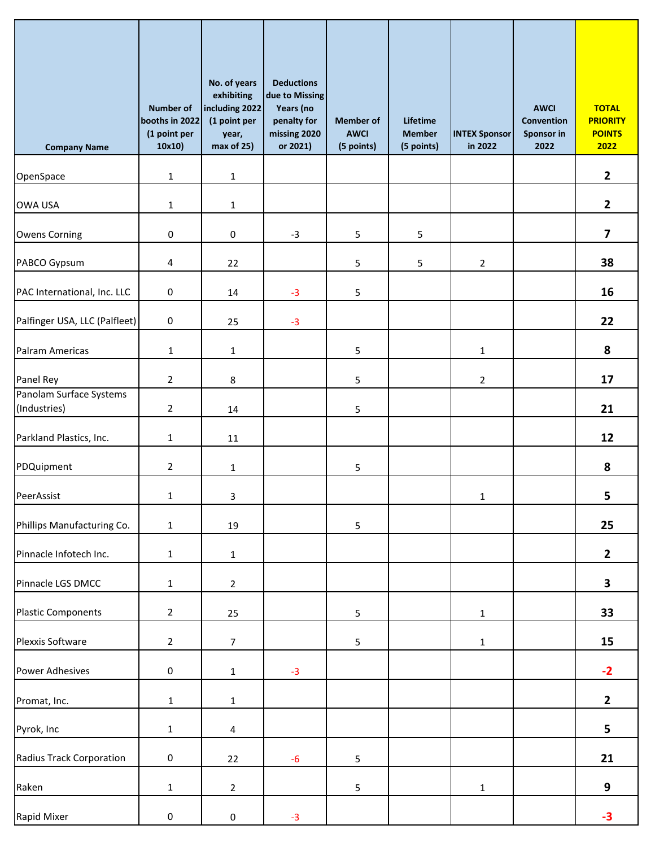| <b>Company Name</b>                     | <b>Number of</b><br>booths in 2022<br>(1 point per<br>10x10) | No. of years<br>exhibiting<br>including 2022<br>(1 point per<br>year,<br>max of 25) | <b>Deductions</b><br>due to Missing<br>Years (no<br>penalty for<br>missing 2020<br>or 2021) | <b>Member of</b><br><b>AWCI</b><br>(5 points) | Lifetime<br><b>Member</b><br>(5 points) | <b>INTEX Sponsor</b><br>in 2022 | <b>AWCI</b><br>Convention<br>Sponsor in<br>2022 | <b>TOTAL</b><br><b>PRIORITY</b><br><b>POINTS</b><br>2022 |
|-----------------------------------------|--------------------------------------------------------------|-------------------------------------------------------------------------------------|---------------------------------------------------------------------------------------------|-----------------------------------------------|-----------------------------------------|---------------------------------|-------------------------------------------------|----------------------------------------------------------|
| OpenSpace                               | $\mathbf 1$                                                  | $\mathbf{1}$                                                                        |                                                                                             |                                               |                                         |                                 |                                                 | $\overline{2}$                                           |
| <b>OWA USA</b>                          | $\mathbf 1$                                                  | $\mathbf{1}$                                                                        |                                                                                             |                                               |                                         |                                 |                                                 | $\mathbf{2}$                                             |
| <b>Owens Corning</b>                    | $\pmb{0}$                                                    | $\pmb{0}$                                                                           | $-3$                                                                                        | 5                                             | 5                                       |                                 |                                                 | $\overline{\mathbf{z}}$                                  |
| PABCO Gypsum                            | 4                                                            | 22                                                                                  |                                                                                             | 5                                             | 5                                       | $\overline{2}$                  |                                                 | 38                                                       |
| PAC International, Inc. LLC             | $\pmb{0}$                                                    | 14                                                                                  | $-3$                                                                                        | 5                                             |                                         |                                 |                                                 | 16                                                       |
| Palfinger USA, LLC (Palfleet)           | $\mathsf 0$                                                  | 25                                                                                  | $-3$                                                                                        |                                               |                                         |                                 |                                                 | 22                                                       |
| Palram Americas                         | $\mathbf{1}$                                                 | $\mathbf{1}$                                                                        |                                                                                             | 5                                             |                                         | 1                               |                                                 | 8                                                        |
| Panel Rey                               | $\overline{2}$                                               | 8                                                                                   |                                                                                             | 5                                             |                                         | $\overline{a}$                  |                                                 | 17                                                       |
| Panolam Surface Systems<br>(Industries) | $\overline{2}$                                               | 14                                                                                  |                                                                                             | 5                                             |                                         |                                 |                                                 | 21                                                       |
| Parkland Plastics, Inc.                 | $\mathbf{1}$                                                 | 11                                                                                  |                                                                                             |                                               |                                         |                                 |                                                 | 12                                                       |
| PDQuipment                              | $\overline{2}$                                               | 1                                                                                   |                                                                                             | 5                                             |                                         |                                 |                                                 | 8                                                        |
| PeerAssist                              | $\mathbf{1}$                                                 | $\mathbf{3}$                                                                        |                                                                                             |                                               |                                         | 1                               |                                                 | 5                                                        |
| Phillips Manufacturing Co.              | $\mathbf{1}$                                                 | 19                                                                                  |                                                                                             | 5                                             |                                         |                                 |                                                 | 25                                                       |
| Pinnacle Infotech Inc.                  | $\mathbf{1}$                                                 | $\mathbf 1$                                                                         |                                                                                             |                                               |                                         |                                 |                                                 | $\mathbf{2}$                                             |
| Pinnacle LGS DMCC                       | $\mathbf{1}$                                                 | $\overline{2}$                                                                      |                                                                                             |                                               |                                         |                                 |                                                 | $\overline{\mathbf{3}}$                                  |
| <b>Plastic Components</b>               | $\overline{2}$                                               | 25                                                                                  |                                                                                             | 5                                             |                                         | $\mathbf{1}$                    |                                                 | 33                                                       |
| Plexxis Software                        | $\overline{2}$                                               | $\overline{7}$                                                                      |                                                                                             | 5                                             |                                         | $\mathbf{1}$                    |                                                 | 15                                                       |
| <b>Power Adhesives</b>                  | $\pmb{0}$                                                    | $\mathbf{1}$                                                                        | $-3$                                                                                        |                                               |                                         |                                 |                                                 | $-2$                                                     |
| Promat, Inc.                            | $\mathbf{1}$                                                 | $\mathbf{1}$                                                                        |                                                                                             |                                               |                                         |                                 |                                                 | $\overline{2}$                                           |
| Pyrok, Inc                              | $\mathbf{1}$                                                 | $\overline{4}$                                                                      |                                                                                             |                                               |                                         |                                 |                                                 | 5                                                        |
| Radius Track Corporation                | $\pmb{0}$                                                    | 22                                                                                  | $-6$                                                                                        | 5                                             |                                         |                                 |                                                 | 21                                                       |
| Raken                                   | $\mathbf{1}$                                                 | $\overline{2}$                                                                      |                                                                                             | 5                                             |                                         | $\mathbf{1}$                    |                                                 | 9                                                        |
| Rapid Mixer                             | $\pmb{0}$                                                    | $\pmb{0}$                                                                           | $-3$                                                                                        |                                               |                                         |                                 |                                                 | $-3$                                                     |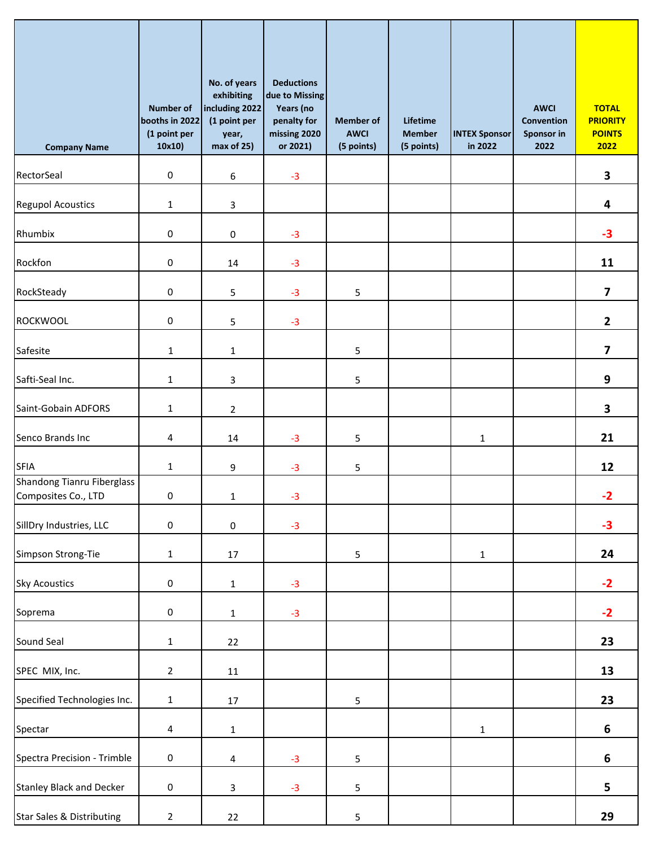| <b>Company Name</b>                               | <b>Number of</b><br>booths in 2022<br>(1 point per<br>10x10) | No. of years<br>exhibiting<br>including 2022<br>(1 point per<br>year,<br>max of 25) | <b>Deductions</b><br>due to Missing<br>Years (no<br>penalty for<br>missing 2020<br>or 2021) | <b>Member</b> of<br><b>AWCI</b><br>(5 points) | Lifetime<br><b>Member</b><br>(5 points) | <b>INTEX Sponsor</b><br>in 2022 | <b>AWCI</b><br><b>Convention</b><br>Sponsor in<br>2022 | <b>TOTAL</b><br><b>PRIORITY</b><br><b>POINTS</b><br>2022 |
|---------------------------------------------------|--------------------------------------------------------------|-------------------------------------------------------------------------------------|---------------------------------------------------------------------------------------------|-----------------------------------------------|-----------------------------------------|---------------------------------|--------------------------------------------------------|----------------------------------------------------------|
| RectorSeal                                        | $\pmb{0}$                                                    | 6                                                                                   | $-3$                                                                                        |                                               |                                         |                                 |                                                        | 3                                                        |
| <b>Regupol Acoustics</b>                          | $\mathbf{1}$                                                 | 3                                                                                   |                                                                                             |                                               |                                         |                                 |                                                        | 4                                                        |
| Rhumbix                                           | 0                                                            | 0                                                                                   | $-3$                                                                                        |                                               |                                         |                                 |                                                        | $-3$                                                     |
| Rockfon                                           | 0                                                            | 14                                                                                  | $-3$                                                                                        |                                               |                                         |                                 |                                                        | 11                                                       |
| RockSteady                                        | $\pmb{0}$                                                    | 5                                                                                   | $-3$                                                                                        | 5                                             |                                         |                                 |                                                        | $\overline{\mathbf{z}}$                                  |
| <b>ROCKWOOL</b>                                   | 0                                                            | 5                                                                                   | $-3$                                                                                        |                                               |                                         |                                 |                                                        | $\overline{2}$                                           |
| Safesite                                          | $\mathbf{1}$                                                 | $\mathbf{1}$                                                                        |                                                                                             | 5                                             |                                         |                                 |                                                        | $\overline{\mathbf{z}}$                                  |
| Safti-Seal Inc.                                   | $\mathbf{1}$                                                 | 3                                                                                   |                                                                                             | 5                                             |                                         |                                 |                                                        | 9                                                        |
| Saint-Gobain ADFORS                               | $\mathbf{1}$                                                 | $\overline{2}$                                                                      |                                                                                             |                                               |                                         |                                 |                                                        | 3                                                        |
| Senco Brands Inc                                  | 4                                                            | 14                                                                                  | $-3$                                                                                        | 5                                             |                                         | 1                               |                                                        | 21                                                       |
| <b>SFIA</b>                                       | $\mathbf{1}$                                                 | 9                                                                                   | $-3$                                                                                        | 5                                             |                                         |                                 |                                                        | 12                                                       |
| Shandong Tianru Fiberglass<br>Composites Co., LTD | $\mathbf 0$                                                  | $\mathbf{1}$                                                                        | $-3$                                                                                        |                                               |                                         |                                 |                                                        | $-2$                                                     |
| SillDry Industries, LLC                           | $\mathsf 0$                                                  | $\pmb{0}$                                                                           | $-3$                                                                                        |                                               |                                         |                                 |                                                        | $-3$                                                     |
| Simpson Strong-Tie                                | $\mathbf{1}$                                                 | 17                                                                                  |                                                                                             | 5                                             |                                         | $\mathbf{1}$                    |                                                        | 24                                                       |
| <b>Sky Acoustics</b>                              | $\mathsf 0$                                                  | $\mathbf 1$                                                                         | $-3$                                                                                        |                                               |                                         |                                 |                                                        | $-2$                                                     |
| Soprema                                           | $\mathbf 0$                                                  | $\mathbf{1}$                                                                        | $-3$                                                                                        |                                               |                                         |                                 |                                                        | $-2$                                                     |
| Sound Seal                                        | $\mathbf{1}$                                                 | 22                                                                                  |                                                                                             |                                               |                                         |                                 |                                                        | 23                                                       |
| SPEC MIX, Inc.                                    | $\overline{2}$                                               | $11\,$                                                                              |                                                                                             |                                               |                                         |                                 |                                                        | 13                                                       |
| Specified Technologies Inc.                       | $\mathbf{1}$                                                 | 17                                                                                  |                                                                                             | 5                                             |                                         |                                 |                                                        | 23                                                       |
| Spectar                                           | $\overline{4}$                                               | $\mathbf{1}$                                                                        |                                                                                             |                                               |                                         | $\mathbf{1}$                    |                                                        | 6                                                        |
| Spectra Precision - Trimble                       | $\pmb{0}$                                                    | $\overline{\mathbf{4}}$                                                             | $-3$                                                                                        | 5                                             |                                         |                                 |                                                        | 6                                                        |
| <b>Stanley Black and Decker</b>                   | 0                                                            | 3                                                                                   | $-3$                                                                                        | 5                                             |                                         |                                 |                                                        | 5                                                        |
| <b>Star Sales &amp; Distributing</b>              | $\overline{2}$                                               | 22                                                                                  |                                                                                             | 5                                             |                                         |                                 |                                                        | 29                                                       |